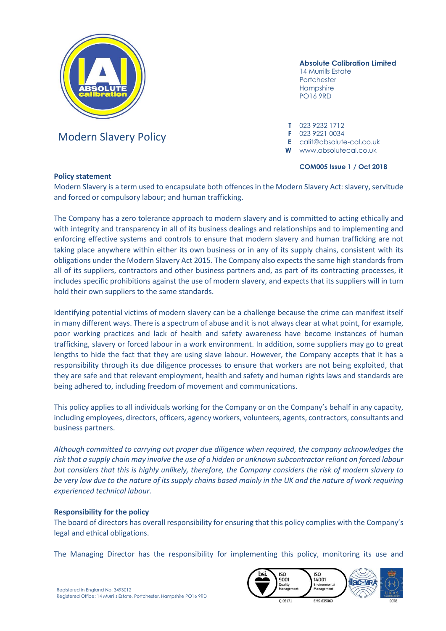

# Modern Slavery Policy **F** 023 9221 0034

## **Absolute Calibration Limited**

14 Murrills Estate Portchester Hampshire PO16 9RD

**T** 023 9232 1712

**E** calit@absolute-cal.co.uk

**W** www.absolutecal.co.uk

## **COM005 Issue 1 / Oct 2018**

## **Policy statement**

Modern Slavery is a term used to encapsulate both offences in the Modern Slavery Act: slavery, servitude and forced or compulsory labour; and human trafficking.

The Company has a zero tolerance approach to modern slavery and is committed to acting ethically and with integrity and transparency in all of its business dealings and relationships and to implementing and enforcing effective systems and controls to ensure that modern slavery and human trafficking are not taking place anywhere within either its own business or in any of its supply chains, consistent with its obligations under the Modern Slavery Act 2015. The Company also expects the same high standards from all of its suppliers, contractors and other business partners and, as part of its contracting processes, it includes specific prohibitions against the use of modern slavery, and expects that its suppliers will in turn hold their own suppliers to the same standards.

Identifying potential victims of modern slavery can be a challenge because the crime can manifest itself in many different ways. There is a spectrum of abuse and it is not always clear at what point, for example, poor working practices and lack of health and safety awareness have become instances of human trafficking, slavery or forced labour in a work environment. In addition, some suppliers may go to great lengths to hide the fact that they are using slave labour. However, the Company accepts that it has a responsibility through its due diligence processes to ensure that workers are not being exploited, that they are safe and that relevant employment, health and safety and human rights laws and standards are being adhered to, including freedom of movement and communications.

This policy applies to all individuals working for the Company or on the Company's behalf in any capacity, including employees, directors, officers, agency workers, volunteers, agents, contractors, consultants and business partners.

*Although committed to carrying out proper due diligence when required, the company acknowledges the risk that a supply chain may involve the use of a hidden or unknown subcontractor reliant on forced labour but considers that this is highly unlikely, therefore, the Company considers the risk of modern slavery to be very low due to the nature of its supply chains based mainly in the UK and the nature of work requiring experienced technical labour.*

## **Responsibility for the policy**

The board of directors has overall responsibility for ensuring that this policy complies with the Company's legal and ethical obligations.

The Managing Director has the responsibility for implementing this policy, monitoring its use and